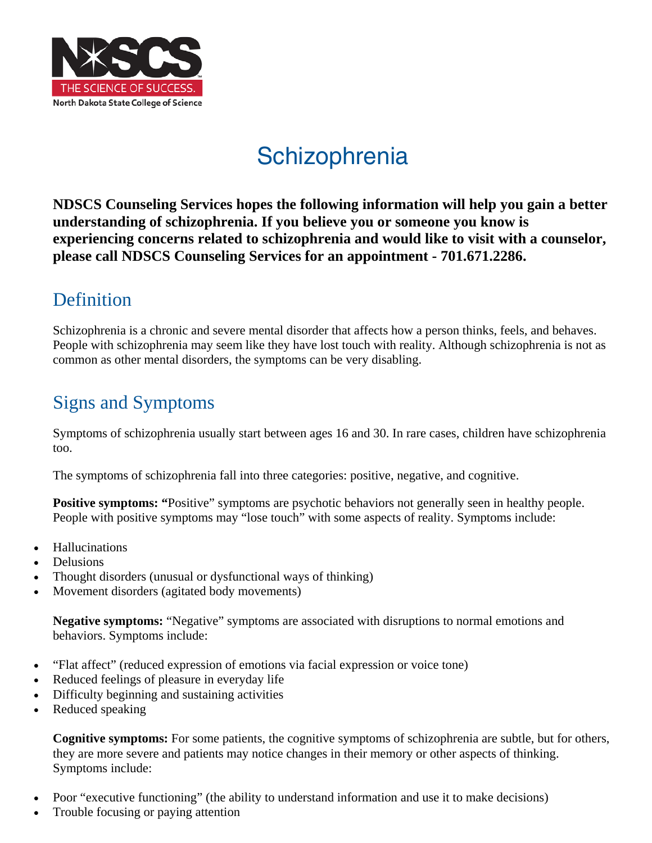

# **Schizophrenia**

**NDSCS Counseling Services hopes the following information will help you gain a better understanding of schizophrenia. If you believe you or someone you know is experiencing concerns related to schizophrenia and would like to visit with a counselor, please call NDSCS Counseling Services for an appointment - 701.671.2286.** 

# **Definition**

Schizophrenia is a chronic and severe mental disorder that affects how a person thinks, feels, and behaves. People with schizophrenia may seem like they have lost touch with reality. Although schizophrenia is not as common as other mental disorders, the symptoms can be very disabling.

# Signs and Symptoms

Symptoms of schizophrenia usually start between ages 16 and 30. In rare cases, children have schizophrenia too.

The symptoms of schizophrenia fall into three categories: positive, negative, and cognitive.

**Positive symptoms: "Positive"** symptoms are psychotic behaviors not generally seen in healthy people. People with positive symptoms may "lose touch" with some aspects of reality. Symptoms include:

- Hallucinations
- Delusions
- Thought disorders (unusual or dysfunctional ways of thinking)
- Movement disorders (agitated body movements)

**Negative symptoms:** "Negative" symptoms are associated with disruptions to normal emotions and behaviors. Symptoms include:

- "Flat affect" (reduced expression of emotions via facial expression or voice tone)
- Reduced feelings of pleasure in everyday life
- Difficulty beginning and sustaining activities
- Reduced speaking

**Cognitive symptoms:** For some patients, the cognitive symptoms of schizophrenia are subtle, but for others, they are more severe and patients may notice changes in their memory or other aspects of thinking. Symptoms include:

- Poor "executive functioning" (the ability to understand information and use it to make decisions)
- Trouble focusing or paying attention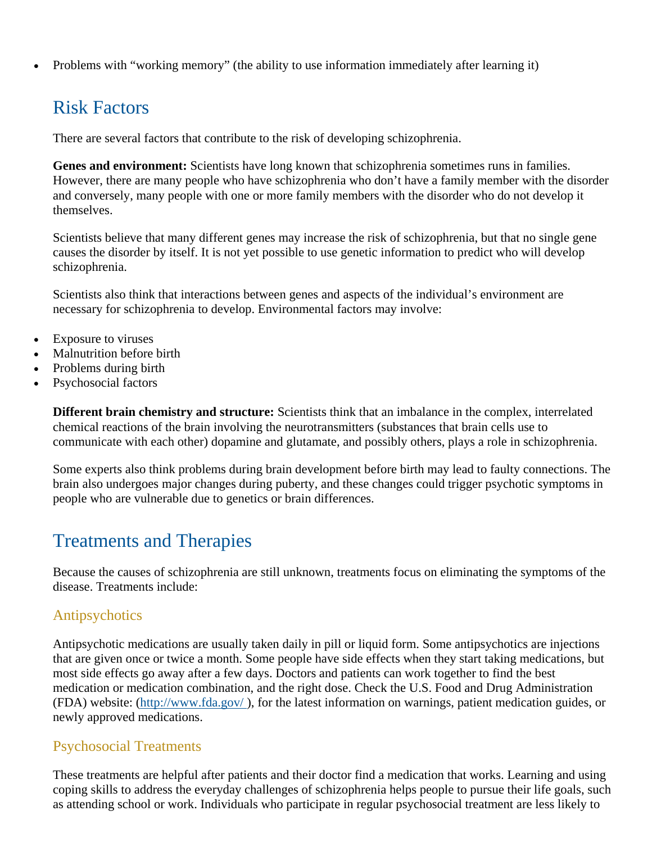Problems with "working memory" (the ability to use information immediately after learning it)

# Risk Factors

There are several factors that contribute to the risk of developing schizophrenia.

Genes and environment: Scientists have long known that schizophrenia sometimes runs in families. However, there are many people who have schizophrenia who don't have a family member with the disorder and conversely, many people with one or more family members with the disorder who do not develop it themselves.

Scientists believe that many different genes may increase the risk of schizophrenia, but that no single gene causes the disorder by itself. It is not yet possible to use genetic information to predict who will develop schizophrenia.

Scientists also think that interactions between genes and aspects of the individual's environment are necessary for schizophrenia to develop. Environmental factors may involve:

- Exposure to viruses
- Malnutrition before birth
- Problems during birth
- Psychosocial factors

**Different brain chemistry and structure:** Scientists think that an imbalance in the complex, interrelated chemical reactions of the brain involving the neurotransmitters (substances that brain cells use to communicate with each other) dopamine and glutamate, and possibly others, plays a role in schizophrenia.

Some experts also think problems during brain development before birth may lead to faulty connections. The brain also undergoes major changes during puberty, and these changes could trigger psychotic symptoms in people who are vulnerable due to genetics or brain differences.

### Treatments and Therapies

Because the causes of schizophrenia are still unknown, treatments focus on eliminating the symptoms of the disease. Treatments include:

### Antipsychotics

Antipsychotic medications are usually taken daily in pill or liquid form. Some antipsychotics are injections that are given once or twice a month. Some people have side effects when they start taking medications, but most side effects go away after a few days. Doctors and patients can work together to find the best medication or medication combination, and the right dose. Check the U.S. Food and Drug Administration (FDA) website: (http://www.fda.gov/ ), for the latest information on warnings, patient medication guides, or newly approved medications.

#### Psychosocial Treatments

These treatments are helpful after patients and their doctor find a medication that works. Learning and using coping skills to address the everyday challenges of schizophrenia helps people to pursue their life goals, such as attending school or work. Individuals who participate in regular psychosocial treatment are less likely to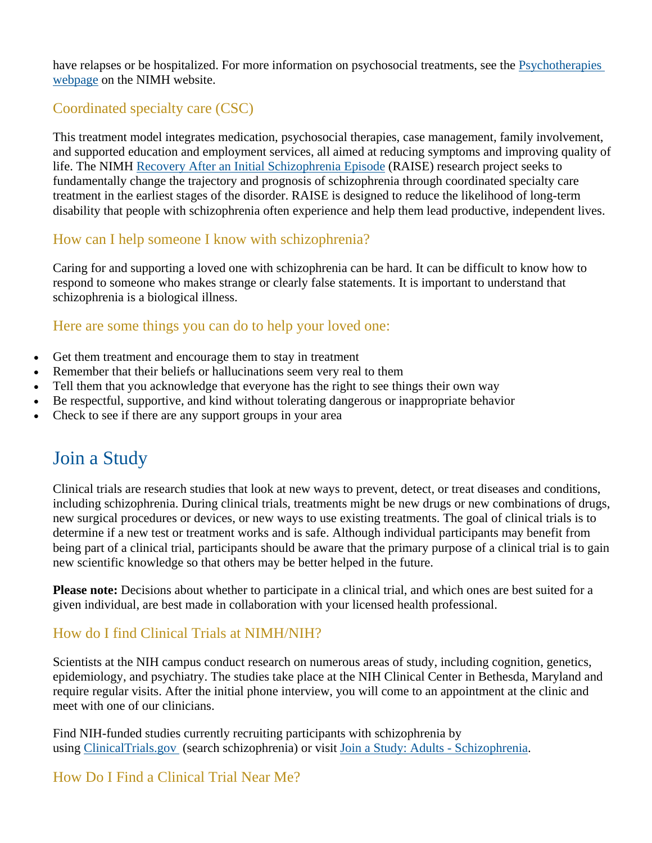have relapses or be hospitalized. For more information on psychosocial treatments, see the Psychotherapies webpage on the NIMH website.

### Coordinated specialty care (CSC)

This treatment model integrates medication, psychosocial therapies, case management, family involvement, and supported education and employment services, all aimed at reducing symptoms and improving quality of life. The NIMH Recovery After an Initial Schizophrenia Episode (RAISE) research project seeks to fundamentally change the trajectory and prognosis of schizophrenia through coordinated specialty care treatment in the earliest stages of the disorder. RAISE is designed to reduce the likelihood of long-term disability that people with schizophrenia often experience and help them lead productive, independent lives.

### How can I help someone I know with schizophrenia?

Caring for and supporting a loved one with schizophrenia can be hard. It can be difficult to know how to respond to someone who makes strange or clearly false statements. It is important to understand that schizophrenia is a biological illness.

### Here are some things you can do to help your loved one:

- Get them treatment and encourage them to stay in treatment
- Remember that their beliefs or hallucinations seem very real to them
- Tell them that you acknowledge that everyone has the right to see things their own way
- Be respectful, supportive, and kind without tolerating dangerous or inappropriate behavior
- Check to see if there are any support groups in your area

# Join a Study

Clinical trials are research studies that look at new ways to prevent, detect, or treat diseases and conditions, including schizophrenia. During clinical trials, treatments might be new drugs or new combinations of drugs, new surgical procedures or devices, or new ways to use existing treatments. The goal of clinical trials is to determine if a new test or treatment works and is safe. Although individual participants may benefit from being part of a clinical trial, participants should be aware that the primary purpose of a clinical trial is to gain new scientific knowledge so that others may be better helped in the future.

**Please note:** Decisions about whether to participate in a clinical trial, and which ones are best suited for a given individual, are best made in collaboration with your licensed health professional.

### How do I find Clinical Trials at NIMH/NIH?

Scientists at the NIH campus conduct research on numerous areas of study, including cognition, genetics, epidemiology, and psychiatry. The studies take place at the NIH Clinical Center in Bethesda, Maryland and require regular visits. After the initial phone interview, you will come to an appointment at the clinic and meet with one of our clinicians.

Find NIH-funded studies currently recruiting participants with schizophrenia by using ClinicalTrials.gov (search schizophrenia) or visit Join a Study: Adults - Schizophrenia.

### How Do I Find a Clinical Trial Near Me?